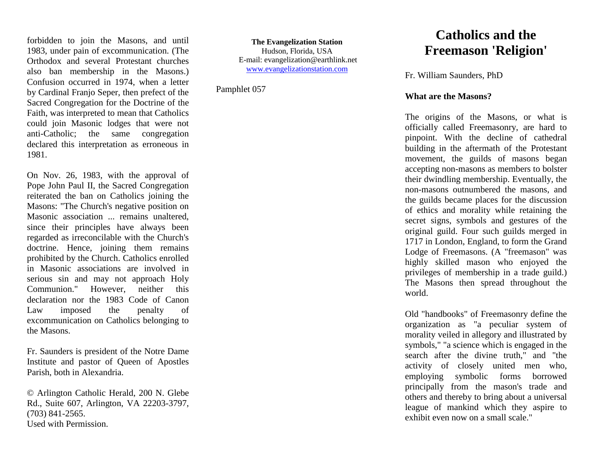forbidden to join the Masons, and until 1983, under pain of excommunication. (The Orthodox and several Protestant churches also ban membership in the Masons.) Confusion occurred in 1974, when a letter by Cardinal Franjo Seper, then prefect of the Sacred Congregation for the Doctrine of the Faith, was interpreted to mean that Catholics could join Masonic lodges that were not anti-Catholic; the same congregation declared this interpretation as erroneous in 1981.

On Nov. 26, 1983, with the approval of Pope John Paul II, the Sacred Congregation reiterated the ban on Catholics joining the Masons: "The Church's negative position on Masonic association ... remains unaltered, since their principles have always been regarded as irreconcilable with the Church's doctrine. Hence, joining them remains prohibited by the Church. Catholics enrolled in Masonic associations are involved in serious sin and may not approach Holy Communion." However, neither this declaration nor the 1983 Code of Canon Law imposed the penalty of excommunication on Catholics belonging to the Masons.

Fr. Saunders is president of the Notre Dame Institute and pastor of Queen of Apostles Parish, both in Alexandria.

© Arlington Catholic Herald, 200 N. Glebe Rd., Suite 607, Arlington, VA 22203-3797, (703) 841-2565. Used with Permission.

**The Evangelization Station** Hudson, Florida, USA E-mail: evangelization@earthlink.net [www.evangelizationstation.com](http://www.pjpiisoe.org/)

Pamphlet 057

## **Catholics and the Freemason 'Religion'**

Fr. William Saunders, PhD

## **What are the Masons?**

The origins of the Masons, or what is officially called Freemasonry, are hard to pinpoint. With the decline of cathedral building in the aftermath of the Protestant movement, the guilds of masons began accepting non-masons as members to bolster their dwindling membership. Eventually, the non-masons outnumbered the masons, and the guilds became places for the discussion of ethics and morality while retaining the secret signs, symbols and gestures of the original guild. Four such guilds merged in 1717 in London, England, to form the Grand Lodge of Freemasons. (A "freemason" was highly skilled mason who enjoyed the privileges of membership in a trade guild.) The Masons then spread throughout the world.

Old "handbooks" of Freemasonry define the organization as "a peculiar system of morality veiled in allegory and illustrated by symbols," "a science which is engaged in the search after the divine truth," and "the activity of closely united men who, employing symbolic forms borrowed principally from the mason's trade and others and thereby to bring about a universal league of mankind which they aspire to exhibit even now on a small scale."